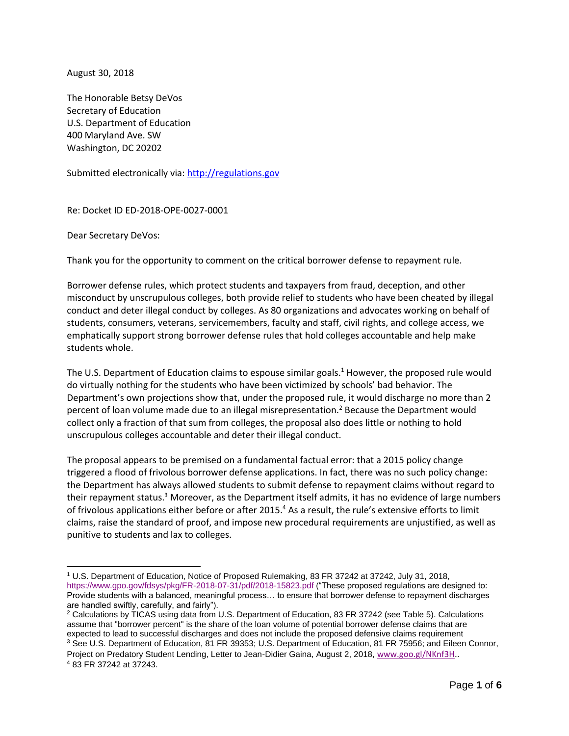August 30, 2018

The Honorable Betsy DeVos Secretary of Education U.S. Department of Education 400 Maryland Ave. SW Washington, DC 20202

Submitted electronically via: [http://regulations.gov](http://regulations.gov/)

Re: Docket ID ED-2018-OPE-0027-0001

Dear Secretary DeVos:

Thank you for the opportunity to comment on the critical borrower defense to repayment rule.

Borrower defense rules, which protect students and taxpayers from fraud, deception, and other misconduct by unscrupulous colleges, both provide relief to students who have been cheated by illegal conduct and deter illegal conduct by colleges. As 80 organizations and advocates working on behalf of students, consumers, veterans, servicemembers, faculty and staff, civil rights, and college access, we emphatically support strong borrower defense rules that hold colleges accountable and help make students whole.

The U.S. Department of Education claims to espouse similar goals.<sup>1</sup> However, the proposed rule would do virtually nothing for the students who have been victimized by schools' bad behavior. The Department's own projections show that, under the proposed rule, it would discharge no more than 2 percent of loan volume made due to an illegal misrepresentation.<sup>2</sup> Because the Department would collect only a fraction of that sum from colleges, the proposal also does little or nothing to hold unscrupulous colleges accountable and deter their illegal conduct.

The proposal appears to be premised on a fundamental factual error: that a 2015 policy change triggered a flood of frivolous borrower defense applications. In fact, there was no such policy change: the Department has always allowed students to submit defense to repayment claims without regard to their repayment status.<sup>3</sup> Moreover, as the Department itself admits, it has no evidence of large numbers of frivolous applications either before or after 2015.<sup>4</sup> As a result, the rule's extensive efforts to limit claims, raise the standard of proof, and impose new procedural requirements are unjustified, as well as punitive to students and lax to colleges.

<sup>1</sup> U.S. Department of Education, Notice of Proposed Rulemaking, 83 FR 37242 at 37242, July 31, 2018, <https://www.gpo.gov/fdsys/pkg/FR-2018-07-31/pdf/2018-15823.pdf> ("These proposed regulations are designed to: Provide students with a balanced, meaningful process… to ensure that borrower defense to repayment discharges are handled swiftly, carefully, and fairly").

<sup>2</sup> Calculations by TICAS using data from U.S. Department of Education, 83 FR 37242 (see Table 5). Calculations assume that "borrower percent" is the share of the loan volume of potential borrower defense claims that are expected to lead to successful discharges and does not include the proposed defensive claims requirement <sup>3</sup> See U.S. Department of Education, 81 FR 39353; U.S. Department of Education, 81 FR 75956; and Eileen Connor,

Project on Predatory Student Lending, Letter to Jean-Didier Gaina, August 2, 2018, [www.goo.gl/NKnf3H.](http://www.goo.gl/NKnf3H). <sup>4</sup> 83 FR 37242 at 37243.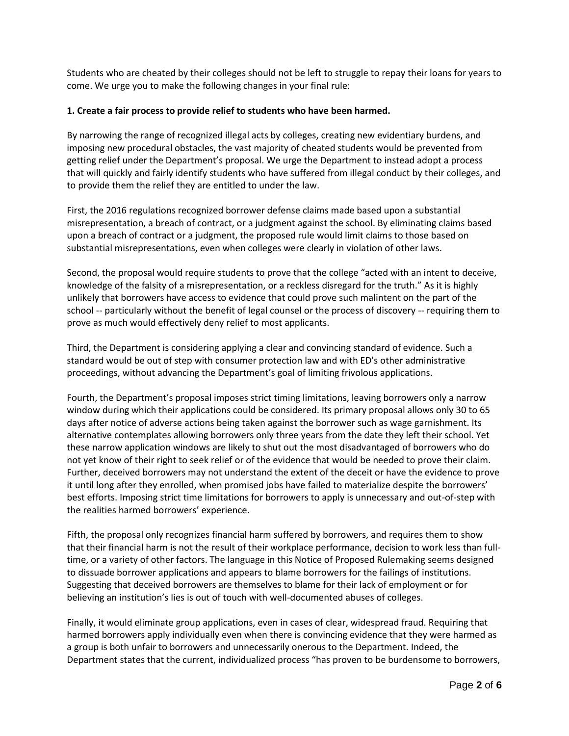Students who are cheated by their colleges should not be left to struggle to repay their loans for years to come. We urge you to make the following changes in your final rule:

### **1. Create a fair process to provide relief to students who have been harmed.**

By narrowing the range of recognized illegal acts by colleges, creating new evidentiary burdens, and imposing new procedural obstacles, the vast majority of cheated students would be prevented from getting relief under the Department's proposal. We urge the Department to instead adopt a process that will quickly and fairly identify students who have suffered from illegal conduct by their colleges, and to provide them the relief they are entitled to under the law.

First, the 2016 regulations recognized borrower defense claims made based upon a substantial misrepresentation, a breach of contract, or a judgment against the school. By eliminating claims based upon a breach of contract or a judgment, the proposed rule would limit claims to those based on substantial misrepresentations, even when colleges were clearly in violation of other laws.

Second, the proposal would require students to prove that the college "acted with an intent to deceive, knowledge of the falsity of a misrepresentation, or a reckless disregard for the truth." As it is highly unlikely that borrowers have access to evidence that could prove such malintent on the part of the school -- particularly without the benefit of legal counsel or the process of discovery -- requiring them to prove as much would effectively deny relief to most applicants.

Third, the Department is considering applying a clear and convincing standard of evidence. Such a standard would be out of step with consumer protection law and with ED's other administrative proceedings, without advancing the Department's goal of limiting frivolous applications.

Fourth, the Department's proposal imposes strict timing limitations, leaving borrowers only a narrow window during which their applications could be considered. Its primary proposal allows only 30 to 65 days after notice of adverse actions being taken against the borrower such as wage garnishment. Its alternative contemplates allowing borrowers only three years from the date they left their school. Yet these narrow application windows are likely to shut out the most disadvantaged of borrowers who do not yet know of their right to seek relief or of the evidence that would be needed to prove their claim. Further, deceived borrowers may not understand the extent of the deceit or have the evidence to prove it until long after they enrolled, when promised jobs have failed to materialize despite the borrowers' best efforts. Imposing strict time limitations for borrowers to apply is unnecessary and out-of-step with the realities harmed borrowers' experience.

Fifth, the proposal only recognizes financial harm suffered by borrowers, and requires them to show that their financial harm is not the result of their workplace performance, decision to work less than fulltime, or a variety of other factors. The language in this Notice of Proposed Rulemaking seems designed to dissuade borrower applications and appears to blame borrowers for the failings of institutions. Suggesting that deceived borrowers are themselves to blame for their lack of employment or for believing an institution's lies is out of touch with well-documented abuses of colleges.

Finally, it would eliminate group applications, even in cases of clear, widespread fraud. Requiring that harmed borrowers apply individually even when there is convincing evidence that they were harmed as a group is both unfair to borrowers and unnecessarily onerous to the Department. Indeed, the Department states that the current, individualized process "has proven to be burdensome to borrowers,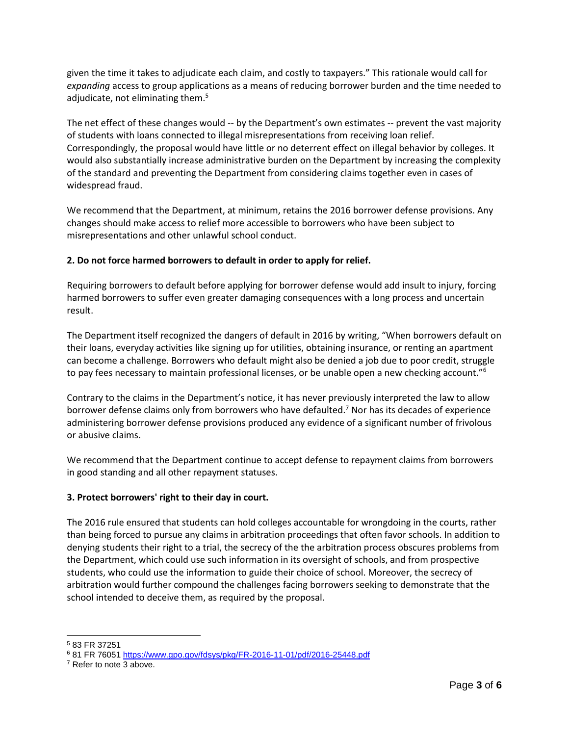given the time it takes to adjudicate each claim, and costly to taxpayers." This rationale would call for *expanding* access to group applications as a means of reducing borrower burden and the time needed to adjudicate, not eliminating them.<sup>5</sup>

The net effect of these changes would -- by the Department's own estimates -- prevent the vast majority of students with loans connected to illegal misrepresentations from receiving loan relief. Correspondingly, the proposal would have little or no deterrent effect on illegal behavior by colleges. It would also substantially increase administrative burden on the Department by increasing the complexity of the standard and preventing the Department from considering claims together even in cases of widespread fraud.

We recommend that the Department, at minimum, retains the 2016 borrower defense provisions. Any changes should make access to relief more accessible to borrowers who have been subject to misrepresentations and other unlawful school conduct.

# **2. Do not force harmed borrowers to default in order to apply for relief.**

Requiring borrowers to default before applying for borrower defense would add insult to injury, forcing harmed borrowers to suffer even greater damaging consequences with a long process and uncertain result.

The Department itself recognized the dangers of default in 2016 by writing, "When borrowers default on their loans, everyday activities like signing up for utilities, obtaining insurance, or renting an apartment can become a challenge. Borrowers who default might also be denied a job due to poor credit, struggle to pay fees necessary to maintain professional licenses, or be unable open a new checking account."<sup>6</sup>

Contrary to the claims in the Department's notice, it has never previously interpreted the law to allow borrower defense claims only from borrowers who have defaulted.<sup>7</sup> Nor has its decades of experience administering borrower defense provisions produced any evidence of a significant number of frivolous or abusive claims.

We recommend that the Department continue to accept defense to repayment claims from borrowers in good standing and all other repayment statuses.

# **3. Protect borrowers' right to their day in court.**

The 2016 rule ensured that students can hold colleges accountable for wrongdoing in the courts, rather than being forced to pursue any claims in arbitration proceedings that often favor schools. In addition to denying students their right to a trial, the secrecy of the the arbitration process obscures problems from the Department, which could use such information in its oversight of schools, and from prospective students, who could use the information to guide their choice of school. Moreover, the secrecy of arbitration would further compound the challenges facing borrowers seeking to demonstrate that the school intended to deceive them, as required by the proposal.

 <sup>5</sup> 83 FR 37251

<sup>6</sup> 81 FR 7605[1 https://www.gpo.gov/fdsys/pkg/FR-2016-11-01/pdf/2016-25448.pdf](https://www.gpo.gov/fdsys/pkg/FR-2016-11-01/pdf/2016-25448.pdf)

<sup>&</sup>lt;sup>7</sup> Refer to note 3 above.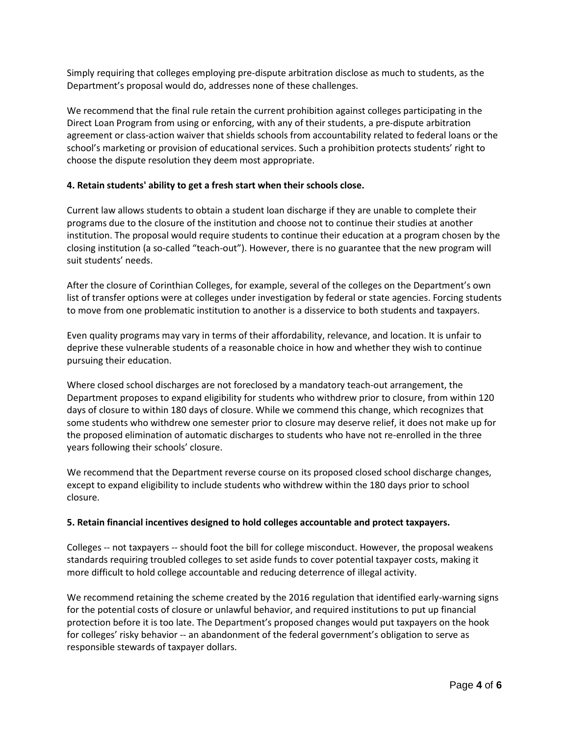Simply requiring that colleges employing pre-dispute arbitration disclose as much to students, as the Department's proposal would do, addresses none of these challenges.

We recommend that the final rule retain the current prohibition against colleges participating in the Direct Loan Program from using or enforcing, with any of their students, a pre-dispute arbitration agreement or class-action waiver that shields schools from accountability related to federal loans or the school's marketing or provision of educational services. Such a prohibition protects students' right to choose the dispute resolution they deem most appropriate.

## **4. Retain students' ability to get a fresh start when their schools close.**

Current law allows students to obtain a student loan discharge if they are unable to complete their programs due to the closure of the institution and choose not to continue their studies at another institution. The proposal would require students to continue their education at a program chosen by the closing institution (a so-called "teach-out"). However, there is no guarantee that the new program will suit students' needs.

After the closure of Corinthian Colleges, for example, several of the colleges on the Department's own list of transfer options were at colleges under investigation by federal or state agencies. Forcing students to move from one problematic institution to another is a disservice to both students and taxpayers.

Even quality programs may vary in terms of their affordability, relevance, and location. It is unfair to deprive these vulnerable students of a reasonable choice in how and whether they wish to continue pursuing their education.

Where closed school discharges are not foreclosed by a mandatory teach-out arrangement, the Department proposes to expand eligibility for students who withdrew prior to closure, from within 120 days of closure to within 180 days of closure. While we commend this change, which recognizes that some students who withdrew one semester prior to closure may deserve relief, it does not make up for the proposed elimination of automatic discharges to students who have not re-enrolled in the three years following their schools' closure.

We recommend that the Department reverse course on its proposed closed school discharge changes, except to expand eligibility to include students who withdrew within the 180 days prior to school closure.

## **5. Retain financial incentives designed to hold colleges accountable and protect taxpayers.**

Colleges -- not taxpayers -- should foot the bill for college misconduct. However, the proposal weakens standards requiring troubled colleges to set aside funds to cover potential taxpayer costs, making it more difficult to hold college accountable and reducing deterrence of illegal activity.

We recommend retaining the scheme created by the 2016 regulation that identified early-warning signs for the potential costs of closure or unlawful behavior, and required institutions to put up financial protection before it is too late. The Department's proposed changes would put taxpayers on the hook for colleges' risky behavior -- an abandonment of the federal government's obligation to serve as responsible stewards of taxpayer dollars.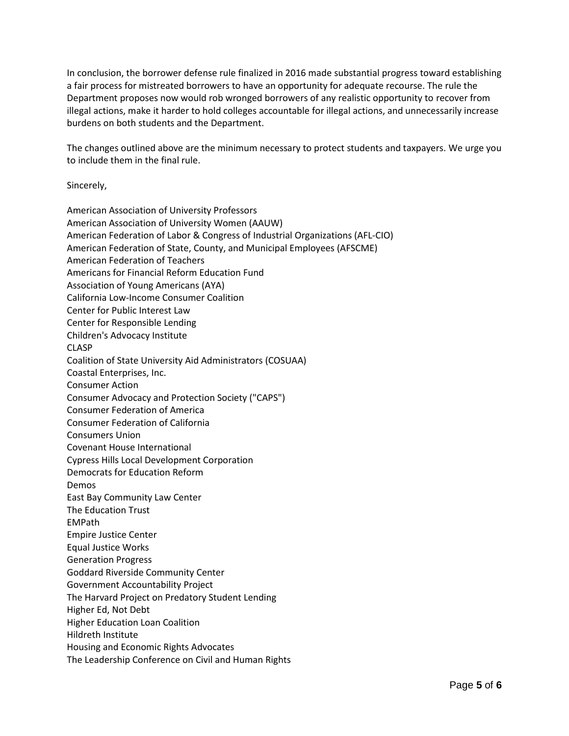In conclusion, the borrower defense rule finalized in 2016 made substantial progress toward establishing a fair process for mistreated borrowers to have an opportunity for adequate recourse. The rule the Department proposes now would rob wronged borrowers of any realistic opportunity to recover from illegal actions, make it harder to hold colleges accountable for illegal actions, and unnecessarily increase burdens on both students and the Department.

The changes outlined above are the minimum necessary to protect students and taxpayers. We urge you to include them in the final rule.

Sincerely,

American Association of University Professors American Association of University Women (AAUW) American Federation of Labor & Congress of Industrial Organizations (AFL-CIO) American Federation of State, County, and Municipal Employees (AFSCME) American Federation of Teachers Americans for Financial Reform Education Fund Association of Young Americans (AYA) California Low-Income Consumer Coalition Center for Public Interest Law Center for Responsible Lending Children's Advocacy Institute CLASP Coalition of State University Aid Administrators (COSUAA) Coastal Enterprises, Inc. Consumer Action Consumer Advocacy and Protection Society ("CAPS") Consumer Federation of America Consumer Federation of California Consumers Union Covenant House International Cypress Hills Local Development Corporation Democrats for Education Reform Demos East Bay Community Law Center The Education Trust EMPath Empire Justice Center Equal Justice Works Generation Progress Goddard Riverside Community Center Government Accountability Project The Harvard Project on Predatory Student Lending Higher Ed, Not Debt Higher Education Loan Coalition Hildreth Institute Housing and Economic Rights Advocates The Leadership Conference on Civil and Human Rights